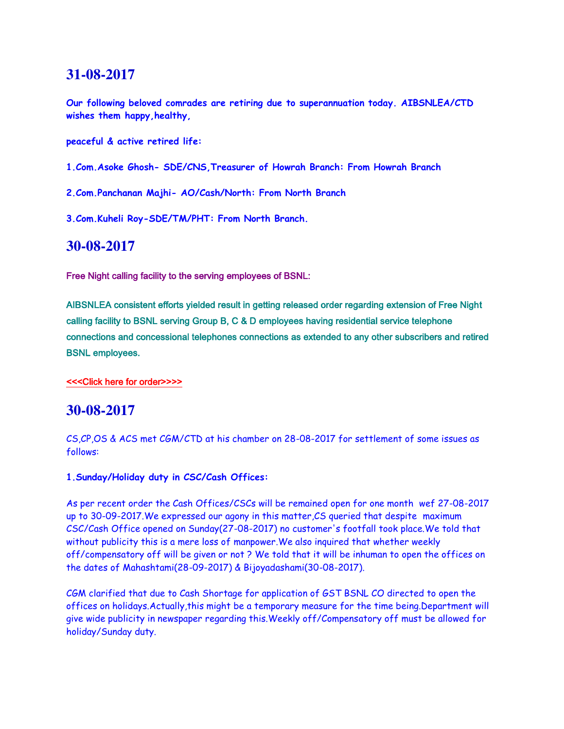**Our following beloved comrades are retiring due to superannuation today. AIBSNLEA/CTD wishes them happy,healthy,** 

**peaceful & active retired life:**

**1.Com.Asoke Ghosh- SDE/CNS,Treasurer of Howrah Branch: From Howrah Branch**

**2.Com.Panchanan Majhi- AO/Cash/North: From North Branch**

**3.Com.Kuheli Roy-SDE/TM/PHT: From North Branch.**

### **30-08-2017**

Free Night calling facility to the serving employees of BSNL:

AIBSNLEA consistent efforts yielded result in getting released order regarding extension of Free Night calling facility to BSNL serving Group B, C & D employees having residential service telephone connections and concessional telephones connections as extended to any other subscribers and retired BSNL employees.

### [<<<Click here for order>>>>](http://www.aibsnleachq.in/night_calling.pdf)

## **30-08-2017**

CS,CP,OS & ACS met CGM/CTD at his chamber on 28-08-2017 for settlement of some issues as follows:

### **1.Sunday/Holiday duty in CSC/Cash Offices:**

As per recent order the Cash Offices/CSCs will be remained open for one month wef 27-08-2017 up to 30-09-2017.We expressed our agony in this matter,CS queried that despite maximum CSC/Cash Office opened on Sunday(27-08-2017) no customer's footfall took place.We told that without publicity this is a mere loss of manpower.We also inquired that whether weekly off/compensatory off will be given or not ? We told that it will be inhuman to open the offices on the dates of Mahashtami(28-09-2017) & Bijoyadashami(30-08-2017).

CGM clarified that due to Cash Shortage for application of GST BSNL CO directed to open the offices on holidays.Actually,this might be a temporary measure for the time being.Department will give wide publicity in newspaper regarding this.Weekly off/Compensatory off must be allowed for holiday/Sunday duty.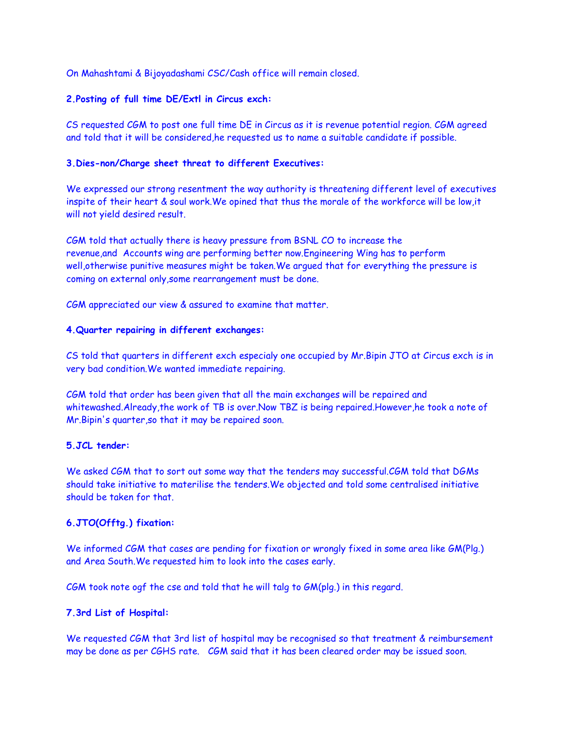On Mahashtami & Bijoyadashami CSC/Cash office will remain closed.

### **2.Posting of full time DE/Extl in Circus exch:**

CS requested CGM to post one full time DE in Circus as it is revenue potential region. CGM agreed and told that it will be considered,he requested us to name a suitable candidate if possible.

### **3.Dies-non/Charge sheet threat to different Executives:**

We expressed our strong resentment the way authority is threatening different level of executives inspite of their heart & soul work.We opined that thus the morale of the workforce will be low,it will not yield desired result.

CGM told that actually there is heavy pressure from BSNL CO to increase the revenue,and Accounts wing are performing better now.Engineering Wing has to perform well,otherwise punitive measures might be taken.We argued that for everything the pressure is coming on external only,some rearrangement must be done.

CGM appreciated our view & assured to examine that matter.

### **4.Quarter repairing in different exchanges:**

CS told that quarters in different exch especialy one occupied by Mr.Bipin JTO at Circus exch is in very bad condition.We wanted immediate repairing.

CGM told that order has been given that all the main exchanges will be repaired and whitewashed.Already,the work of TB is over.Now TBZ is being repaired.However,he took a note of Mr.Bipin's quarter,so that it may be repaired soon.

### **5.JCL tender:**

We asked CGM that to sort out some way that the tenders may successful.CGM told that DGMs should take initiative to materilise the tenders.We objected and told some centralised initiative should be taken for that.

### **6.JTO(Offtg.) fixation:**

We informed CGM that cases are pending for fixation or wrongly fixed in some area like GM(Plg.) and Area South.We requested him to look into the cases early.

CGM took note ogf the cse and told that he will talg to GM(plg.) in this regard.

### **7.3rd List of Hospital:**

We requested CGM that 3rd list of hospital may be recognised so that treatment & reimbursement may be done as per CGHS rate. CGM said that it has been cleared order may be issued soon.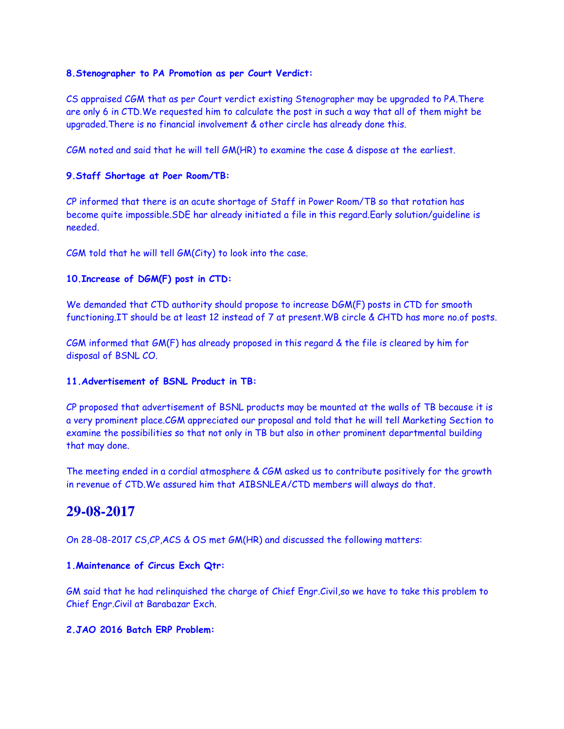### **8.Stenographer to PA Promotion as per Court Verdict:**

CS appraised CGM that as per Court verdict existing Stenographer may be upgraded to PA.There are only 6 in CTD.We requested him to calculate the post in such a way that all of them might be upgraded.There is no financial involvement & other circle has already done this.

CGM noted and said that he will tell GM(HR) to examine the case & dispose at the earliest.

#### **9.Staff Shortage at Poer Room/TB:**

CP informed that there is an acute shortage of Staff in Power Room/TB so that rotation has become quite impossible.SDE har already initiated a file in this regard.Early solution/guideline is needed.

CGM told that he will tell GM(City) to look into the case.

#### **10.Increase of DGM(F) post in CTD:**

We demanded that CTD authority should propose to increase DGM(F) posts in CTD for smooth functioning.IT should be at least 12 instead of 7 at present.WB circle & CHTD has more no.of posts.

CGM informed that GM(F) has already proposed in this regard & the file is cleared by him for disposal of BSNL CO.

#### **11.Advertisement of BSNL Product in TB:**

CP proposed that advertisement of BSNL products may be mounted at the walls of TB because it is a very prominent place.CGM appreciated our proposal and told that he will tell Marketing Section to examine the possibilities so that not only in TB but also in other prominent departmental building that may done.

The meeting ended in a cordial atmosphere & CGM asked us to contribute positively for the growth in revenue of CTD.We assured him that AIBSNLEA/CTD members will always do that.

### **29-08-2017**

On 28-08-2017 CS,CP,ACS & OS met GM(HR) and discussed the following matters:

#### **1.Maintenance of Circus Exch Qtr:**

GM said that he had relinquished the charge of Chief Engr.Civil,so we have to take this problem to Chief Engr.Civil at Barabazar Exch.

#### **2.JAO 2016 Batch ERP Problem:**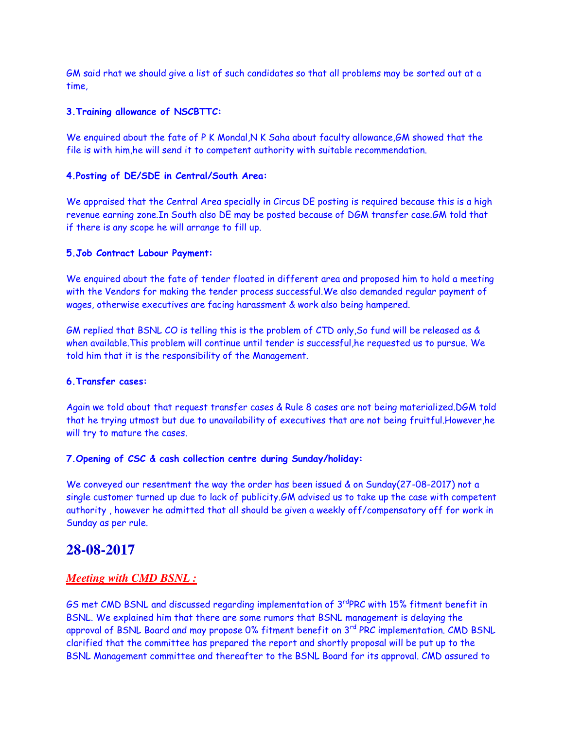GM said rhat we should give a list of such candidates so that all problems may be sorted out at a time,

### **3.Training allowance of NSCBTTC:**

We enquired about the fate of P K Mondal, N K Saha about faculty allowance, GM showed that the file is with him,he will send it to competent authority with suitable recommendation.

#### **4.Posting of DE/SDE in Central/South Area:**

We appraised that the Central Area specially in Circus DE posting is required because this is a high revenue earning zone.In South also DE may be posted because of DGM transfer case.GM told that if there is any scope he will arrange to fill up.

#### **5.Job Contract Labour Payment:**

We enquired about the fate of tender floated in different area and proposed him to hold a meeting with the Vendors for making the tender process successful.We also demanded regular payment of wages, otherwise executives are facing harassment & work also being hampered.

GM replied that BSNL CO is telling this is the problem of CTD only,So fund will be released as & when available.This problem will continue until tender is successful,he requested us to pursue. We told him that it is the responsibility of the Management.

### **6.Transfer cases:**

Again we told about that request transfer cases & Rule 8 cases are not being materialized.DGM told that he trying utmost but due to unavailability of executives that are not being fruitful.However,he will try to mature the cases.

#### **7.Opening of CSC & cash collection centre during Sunday/holiday:**

We conveyed our resentment the way the order has been issued & on Sunday(27-08-2017) not a single customer turned up due to lack of publicity.GM advised us to take up the case with competent authority , however he admitted that all should be given a weekly off/compensatory off for work in Sunday as per rule.

### **28-08-2017**

### *Meeting with CMD BSNL :*

GS met CMD BSNL and discussed regarding implementation of 3rdPRC with 15% fitment benefit in BSNL. We explained him that there are some rumors that BSNL management is delaying the approval of BSNL Board and may propose 0% fitment benefit on 3<sup>rd</sup> PRC implementation. CMD BSNL clarified that the committee has prepared the report and shortly proposal will be put up to the BSNL Management committee and thereafter to the BSNL Board for its approval. CMD assured to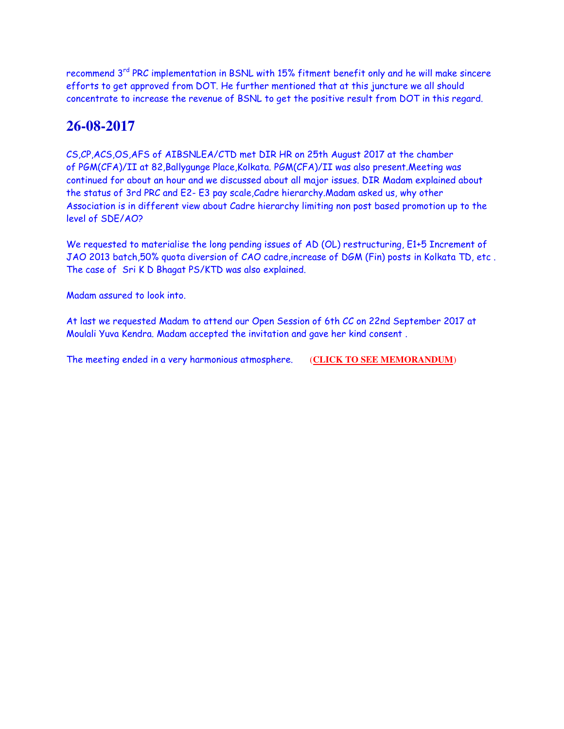recommend 3rd PRC implementation in BSNL with 15% fitment benefit only and he will make sincere efforts to get approved from DOT. He further mentioned that at this juncture we all should concentrate to increase the revenue of BSNL to get the positive result from DOT in this regard.

# **26-08-2017**

CS,CP,ACS,OS,AFS of AIBSNLEA/CTD met DIR HR on 25th August 2017 at the chamber of PGM(CFA)/II at 82,Ballygunge Place,Kolkata. PGM(CFA)/II was also present.Meeting was continued for about an hour and we discussed about all major issues. DIR Madam explained about the status of 3rd PRC and E2- E3 pay scale,Cadre hierarchy.Madam asked us, why other Association is in different view about Cadre hierarchy limiting non post based promotion up to the level of SDE/AO?

We requested to materialise the long pending issues of AD (OL) restructuring, E1+5 Increment of JAO 2013 batch,50% quota diversion of CAO cadre,increase of DGM (Fin) posts in Kolkata TD, etc . The case of Sri K D Bhagat PS/KTD was also explained.

Madam assured to look into.

At last we requested Madam to attend our Open Session of 6th CC on 22nd September 2017 at Moulali Yuva Kendra. Madam accepted the invitation and gave her kind consent .

The meeting ended in a very harmonious atmosphere. (**[CLICK TO SEE MEMORANDUM](http://www.aibsnleawb.org/DIRHRmemo250817.pdf)**)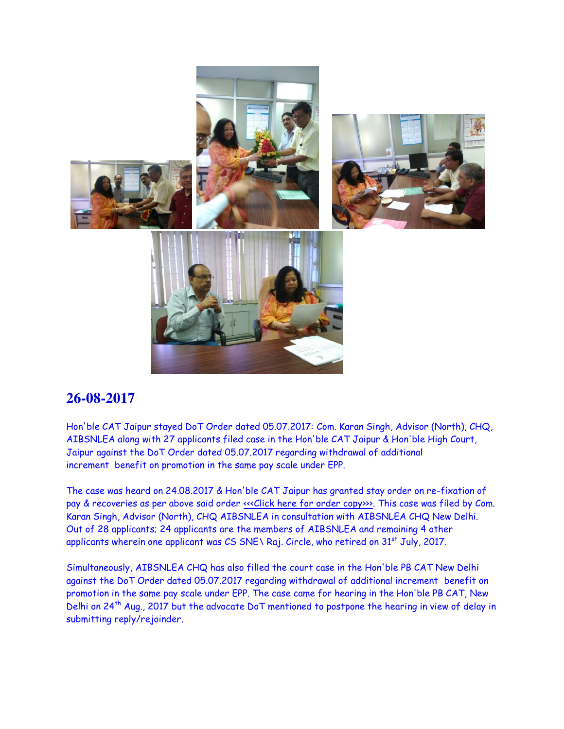

Hon'ble CAT Jaipur stayed DoT Order dated 05.07.2017: Com. Karan Singh, Advisor (North), CHQ, AIBSNLEA along with 27 applicants filed case in the Hon'ble CAT Jaipur & Hon'ble High Court, Jaipur against the DoT Order dated 05.07.2017 regarding withdrawal of additional increment benefit on promotion in the same pay scale under EPP.

The case was heard on 24.08.2017 & Hon'ble CAT Jaipur has granted stay order on re-fixation of pay & recoveries as per above said order «<< Click here for order copy>>>. This case was filed by Com. Karan Singh, Advisor (North), CHQ AIBSNLEA in consultation with AIBSNLEA CHQ New Delhi. Out of 28 applicants; 24 applicants are the members of AIBSNLEA and remaining 4 other applicants wherein one applicant was CS SNE\ Raj. Circle, who retired on  $31<sup>st</sup>$  July, 2017.

Simultaneously, AIBSNLEA CHQ has also filled the court case in the Hon'ble PB CAT New Delhi against the DoT Order dated 05.07.2017 regarding withdrawal of additional increment benefit on promotion in the same pay scale under EPP. The case came for hearing in the Hon'ble PB CAT, New Delhi on 24<sup>th</sup> Aug., 2017 but the advocate DoT mentioned to postpone the hearing in view of delay in submitting reply/rejoinder.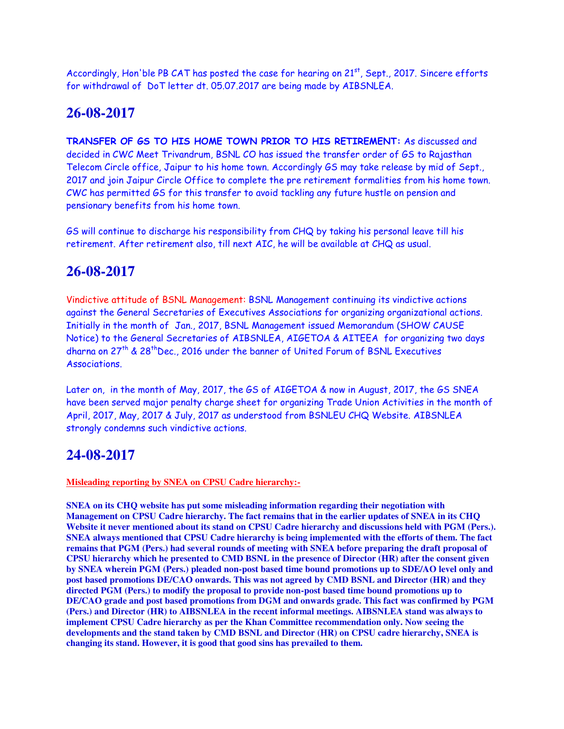Accordingly, Hon'ble PB CAT has posted the case for hearing on 21<sup>st</sup>, Sept., 2017. Sincere efforts for withdrawal of DoT letter dt. 05.07.2017 are being made by AIBSNLEA.

# **26-08-2017**

**TRANSFER OF GS TO HIS HOME TOWN PRIOR TO HIS RETIREMENT:** As discussed and decided in CWC Meet Trivandrum, BSNL CO has issued the transfer order of GS to Rajasthan Telecom Circle office, Jaipur to his home town. Accordingly GS may take release by mid of Sept., 2017 and join Jaipur Circle Office to complete the pre retirement formalities from his home town. CWC has permitted GS for this transfer to avoid tackling any future hustle on pension and pensionary benefits from his home town.

GS will continue to discharge his responsibility from CHQ by taking his personal leave till his retirement. After retirement also, till next AIC, he will be available at CHQ as usual.

# **26-08-2017**

Vindictive attitude of BSNL Management: BSNL Management continuing its vindictive actions against the General Secretaries of Executives Associations for organizing organizational actions. Initially in the month of Jan., 2017, BSNL Management issued Memorandum (SHOW CAUSE Notice) to the General Secretaries of AIBSNLEA, AIGETOA & AITEEA for organizing two days dharna on 27<sup>th</sup> & 28<sup>th</sup>Dec., 2016 under the banner of United Forum of BSNL Executives Associations.

Later on, in the month of May, 2017, the GS of AIGETOA & now in August, 2017, the GS SNEA have been served major penalty charge sheet for organizing Trade Union Activities in the month of April, 2017, May, 2017 & July, 2017 as understood from BSNLEU CHQ Website. AIBSNLEA strongly condemns such vindictive actions.

# **24-08-2017**

**Misleading reporting by SNEA on CPSU Cadre hierarchy:-**

**SNEA on its CHQ website has put some misleading information regarding their negotiation with Management on CPSU Cadre hierarchy. The fact remains that in the earlier updates of SNEA in its CHQ Website it never mentioned about its stand on CPSU Cadre hierarchy and discussions held with PGM (Pers.). SNEA always mentioned that CPSU Cadre hierarchy is being implemented with the efforts of them. The fact remains that PGM (Pers.) had several rounds of meeting with SNEA before preparing the draft proposal of CPSU hierarchy which he presented to CMD BSNL in the presence of Director (HR) after the consent given by SNEA wherein PGM (Pers.) pleaded non-post based time bound promotions up to SDE/AO level only and post based promotions DE/CAO onwards. This was not agreed by CMD BSNL and Director (HR) and they directed PGM (Pers.) to modify the proposal to provide non-post based time bound promotions up to DE/CAO grade and post based promotions from DGM and onwards grade. This fact was confirmed by PGM (Pers.) and Director (HR) to AIBSNLEA in the recent informal meetings. AIBSNLEA stand was always to implement CPSU Cadre hierarchy as per the Khan Committee recommendation only. Now seeing the developments and the stand taken by CMD BSNL and Director (HR) on CPSU cadre hierarchy, SNEA is changing its stand. However, it is good that good sins has prevailed to them.**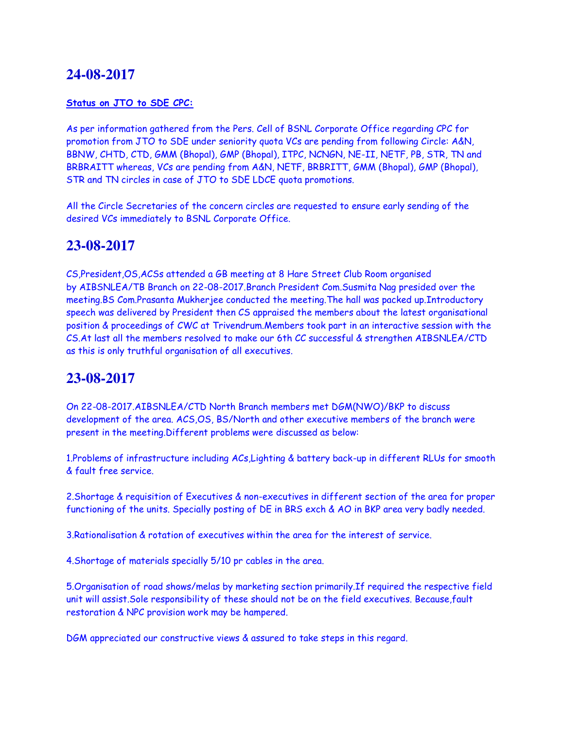### **Status on JTO to SDE CPC:**

As per information gathered from the Pers. Cell of BSNL Corporate Office regarding CPC for promotion from JTO to SDE under seniority quota VCs are pending from following Circle: A&N, BBNW, CHTD, CTD, GMM (Bhopal), GMP (Bhopal), ITPC, NCNGN, NE-II, NETF, PB, STR, TN and BRBRAITT whereas, VCs are pending from A&N, NETF, BRBRITT, GMM (Bhopal), GMP (Bhopal), STR and TN circles in case of JTO to SDE LDCE quota promotions.

All the Circle Secretaries of the concern circles are requested to ensure early sending of the desired VCs immediately to BSNL Corporate Office.

## **23-08-2017**

CS,President,OS,ACSs attended a GB meeting at 8 Hare Street Club Room organised by AIBSNLEA/TB Branch on 22-08-2017.Branch President Com.Susmita Nag presided over the meeting.BS Com.Prasanta Mukherjee conducted the meeting.The hall was packed up.Introductory speech was delivered by President then CS appraised the members about the latest organisational position & proceedings of CWC at Trivendrum.Members took part in an interactive session with the CS.At last all the members resolved to make our 6th CC successful & strengthen AIBSNLEA/CTD as this is only truthful organisation of all executives.

## **23-08-2017**

On 22-08-2017.AIBSNLEA/CTD North Branch members met DGM(NWO)/BKP to discuss development of the area. ACS,OS, BS/North and other executive members of the branch were present in the meeting.Different problems were discussed as below:

1.Problems of infrastructure including ACs,Lighting & battery back-up in different RLUs for smooth & fault free service.

2.Shortage & requisition of Executives & non-executives in different section of the area for proper functioning of the units. Specially posting of DE in BRS exch & AO in BKP area very badly needed.

3.Rationalisation & rotation of executives within the area for the interest of service.

4.Shortage of materials specially 5/10 pr cables in the area.

5.Organisation of road shows/melas by marketing section primarily.If required the respective field unit will assist.Sole responsibility of these should not be on the field executives. Because,fault restoration & NPC provision work may be hampered.

DGM appreciated our constructive views & assured to take steps in this regard.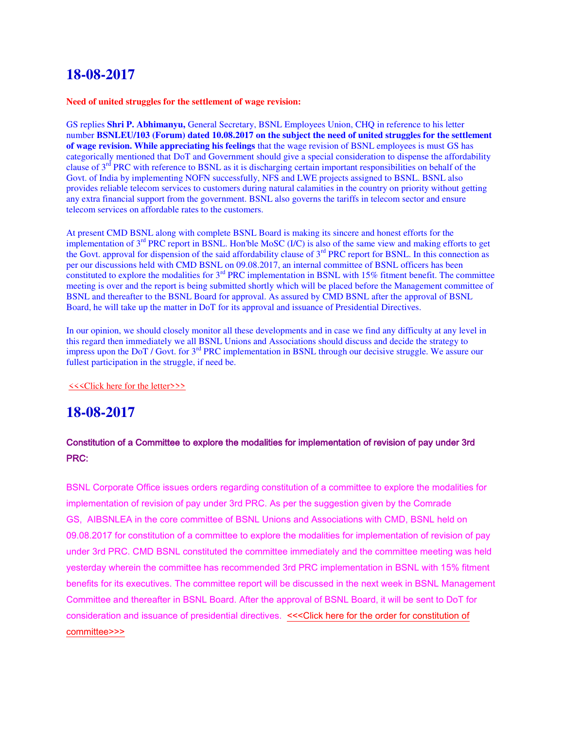#### **Need of united struggles for the settlement of wage revision:**

GS replies **Shri P. Abhimanyu,** General Secretary, BSNL Employees Union, CHQ in reference to his letter number **BSNLEU/103 (Forum) dated 10.08.2017 on the subject the need of united struggles for the settlement of wage revision. While appreciating his feelings** that the wage revision of BSNL employees is must GS has categorically mentioned that DoT and Government should give a special consideration to dispense the affordability clause of 3<sup>rd</sup> PRC with reference to BSNL as it is discharging certain important responsibilities on behalf of the Govt. of India by implementing NOFN successfully, NFS and LWE projects assigned to BSNL. BSNL also provides reliable telecom services to customers during natural calamities in the country on priority without getting any extra financial support from the government. BSNL also governs the tariffs in telecom sector and ensure telecom services on affordable rates to the customers.

At present CMD BSNL along with complete BSNL Board is making its sincere and honest efforts for the implementation of 3<sup>rd</sup> PRC report in BSNL. Hon'ble MoSC (I/C) is also of the same view and making efforts to get the Govt. approval for dispension of the said affordability clause of 3<sup>rd</sup> PRC report for BSNL. In this connection as per our discussions held with CMD BSNL on 09.08.2017, an internal committee of BSNL officers has been constituted to explore the modalities for  $3<sup>rd</sup>$  PRC implementation in BSNL with 15% fitment benefit. The committee meeting is over and the report is being submitted shortly which will be placed before the Management committee of BSNL and thereafter to the BSNL Board for approval. As assured by CMD BSNL after the approval of BSNL Board, he will take up the matter in DoT for its approval and issuance of Presidential Directives.

In our opinion, we should closely monitor all these developments and in case we find any difficulty at any level in this regard then immediately we all BSNL Unions and Associations should discuss and decide the strategy to impress upon the DoT / Govt. for 3<sup>rd</sup> PRC implementation in BSNL through our decisive struggle. We assure our fullest participation in the struggle, if need be.

#### [<<<Click here for the letter>>>](http://www.aibsnleachq.in/BSNLEU.PDF)

### **18-08-2017**

### Constitution of a Committee to explore the modalities for implementation of revision of pay under 3rd PRC:

BSNL Corporate Office issues orders regarding constitution of a committee to explore the modalities for implementation of revision of pay under 3rd PRC. As per the suggestion given by the Comrade GS, AIBSNLEA in the core committee of BSNL Unions and Associations with CMD, BSNL held on 09.08.2017 for constitution of a committee to explore the modalities for implementation of revision of pay under 3rd PRC. CMD BSNL constituted the committee immediately and the committee meeting was held yesterday wherein the committee has recommended 3rd PRC implementation in BSNL with 15% fitment benefits for its executives. The committee report will be discussed in the next week in BSNL Management Committee and thereafter in BSNL Board. After the approval of BSNL Board, it will be sent to DoT for consideration and issuance of presidential directives. [<<<Click here for the order for constitution of](http://www.aibsnleachq.in/BSNL%20CO.PDF)  [committee>>>](http://www.aibsnleachq.in/BSNL%20CO.PDF)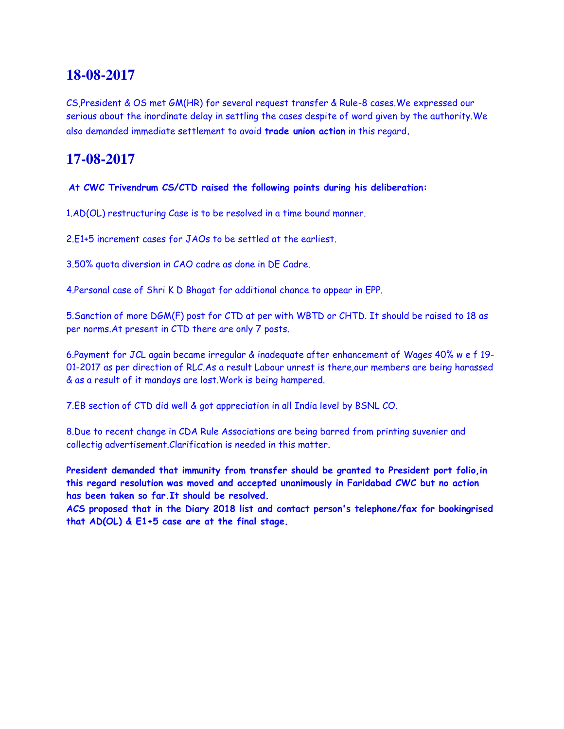CS,President & OS met GM(HR) for several request transfer & Rule-8 cases.We expressed our serious about the inordinate delay in settling the cases despite of word given by the authority.We also demanded immediate settlement to avoid **trade union action** in this regard.

## **17-08-2017**

### **At CWC Trivendrum CS/CTD raised the following points during his deliberation:**

1.AD(OL) restructuring Case is to be resolved in a time bound manner.

2.E1+5 increment cases for JAOs to be settled at the earliest.

3.50% quota diversion in CAO cadre as done in DE Cadre.

4.Personal case of Shri K D Bhagat for additional chance to appear in EPP.

5.Sanction of more DGM(F) post for CTD at per with WBTD or CHTD. It should be raised to 18 as per norms.At present in CTD there are only 7 posts.

6.Payment for JCL again became irregular & inadequate after enhancement of Wages 40% w e f 19- 01-2017 as per direction of RLC.As a result Labour unrest is there,our members are being harassed & as a result of it mandays are lost.Work is being hampered.

7.EB section of CTD did well & got appreciation in all India level by BSNL CO.

8.Due to recent change in CDA Rule Associations are being barred from printing suvenier and collectig advertisement.Clarification is needed in this matter.

**President demanded that immunity from transfer should be granted to President port folio,in this regard resolution was moved and accepted unanimously in Faridabad CWC but no action has been taken so far.It should be resolved.**

**ACS proposed that in the Diary 2018 list and contact person's telephone/fax for bookingrised that AD(OL) & E1+5 case are at the final stage.**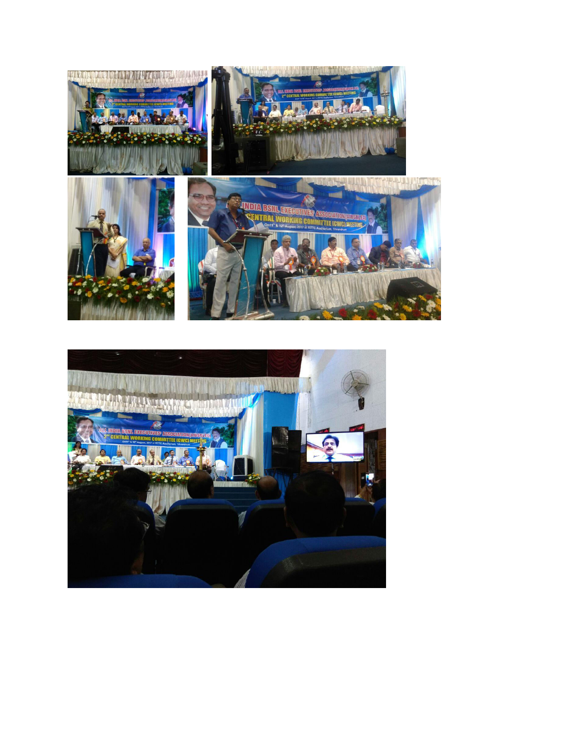

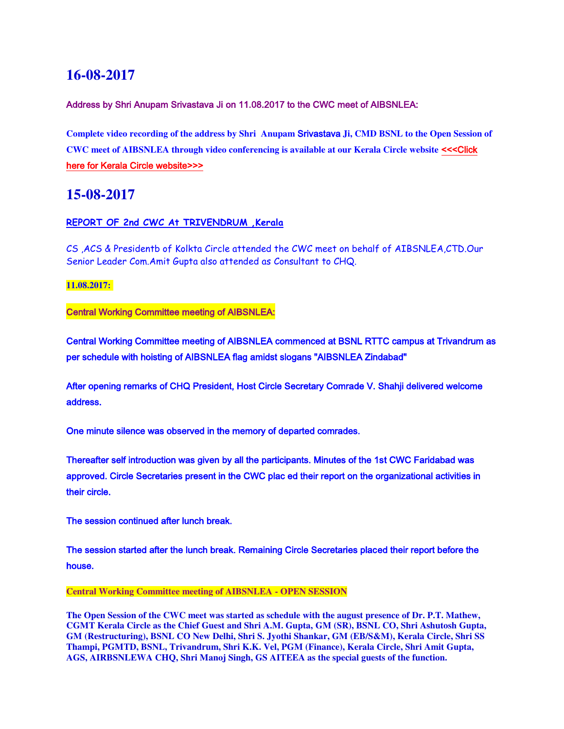### Address by Shri Anupam Srivastava Ji on 11.08.2017 to the CWC meet of AIBSNLEA:

**Complete video recording of the address by Shri Anupam** Srivastava **Ji, CMD BSNL to the Open Session of CWC meet of AIBSNLEA through video conferencing is available at our Kerala Circle website** [<<<Click](http://www.aibsnleakerala.in/)  [here for Kerala Circle website>>>](http://www.aibsnleakerala.in/)

## **15-08-2017**

### **REPORT OF 2nd CWC At TRIVENDRUM ,Kerala**

CS ,ACS & Presidentb of Kolkta Circle attended the CWC meet on behalf of AIBSNLEA,CTD.Our Senior Leader Com.Amit Gupta also attended as Consultant to CHQ.

#### **11.08.2017:**

Central Working Committee meeting of AIBSNLEA:

Central Working Committee meeting of AIBSNLEA commenced at BSNL RTTC campus at Trivandrum as per schedule with hoisting of AIBSNLEA flag amidst slogans "AIBSNLEA Zindabad"

After opening remarks of CHQ President, Host Circle Secretary Comrade V. Shahji delivered welcome address.

One minute silence was observed in the memory of departed comrades.

Thereafter self introduction was given by all the participants. Minutes of the 1st CWC Faridabad was approved. Circle Secretaries present in the CWC plac ed their report on the organizational activities in their circle.

The session continued after lunch break.

The session started after the lunch break. Remaining Circle Secretaries placed their report before the house.

**Central Working Committee meeting of AIBSNLEA - OPEN SESSION**

**The Open Session of the CWC meet was started as schedule with the august presence of Dr. P.T. Mathew, CGMT Kerala Circle as the Chief Guest and Shri A.M. Gupta, GM (SR), BSNL CO, Shri Ashutosh Gupta, GM (Restructuring), BSNL CO New Delhi, Shri S. Jyothi Shankar, GM (EB/S&M), Kerala Circle, Shri SS Thampi, PGMTD, BSNL, Trivandrum, Shri K.K. Vel, PGM (Finance), Kerala Circle, Shri Amit Gupta, AGS, AIRBSNLEWA CHQ, Shri Manoj Singh, GS AITEEA as the special guests of the function.**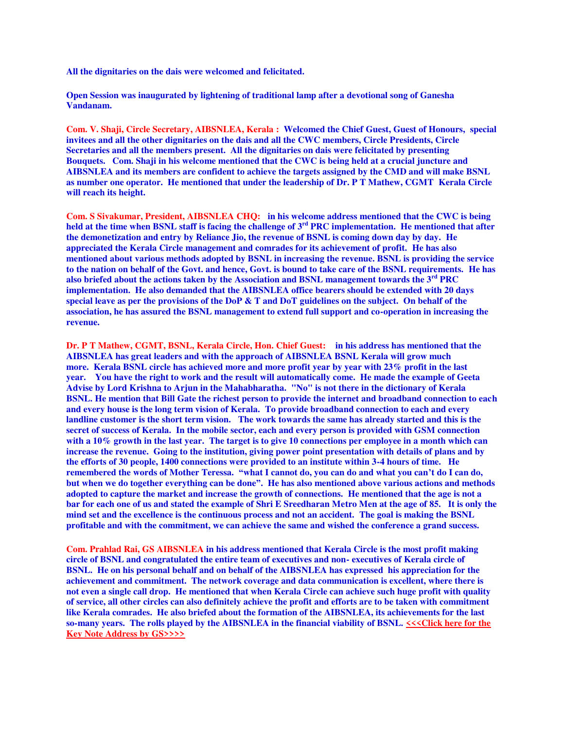**All the dignitaries on the dais were welcomed and felicitated.**

**Open Session was inaugurated by lightening of traditional lamp after a devotional song of Ganesha Vandanam.**

**Com. V. Shaji, Circle Secretary, AIBSNLEA, Kerala : Welcomed the Chief Guest, Guest of Honours, special invitees and all the other dignitaries on the dais and all the CWC members, Circle Presidents, Circle Secretaries and all the members present. All the dignitaries on dais were felicitated by presenting Bouquets. Com. Shaji in his welcome mentioned that the CWC is being held at a crucial juncture and AIBSNLEA and its members are confident to achieve the targets assigned by the CMD and will make BSNL as number one operator. He mentioned that under the leadership of Dr. P T Mathew, CGMT Kerala Circle will reach its height.** 

**Com. S Sivakumar, President, AIBSNLEA CHQ: in his welcome address mentioned that the CWC is being held at the time when BSNL staff is facing the challenge of 3rd PRC implementation. He mentioned that after the demonetization and entry by Reliance Jio, the revenue of BSNL is coming down day by day. He appreciated the Kerala Circle management and comrades for its achievement of profit. He has also mentioned about various methods adopted by BSNL in increasing the revenue. BSNL is providing the service to the nation on behalf of the Govt. and hence, Govt. is bound to take care of the BSNL requirements. He has also briefed about the actions taken by the Association and BSNL management towards the 3rd PRC implementation. He also demanded that the AIBSNLEA office bearers should be extended with 20 days special leave as per the provisions of the DoP & T and DoT guidelines on the subject. On behalf of the association, he has assured the BSNL management to extend full support and co-operation in increasing the revenue.** 

**Dr. P T Mathew, CGMT, BSNL, Kerala Circle, Hon. Chief Guest: in his address has mentioned that the AIBSNLEA has great leaders and with the approach of AIBSNLEA BSNL Kerala will grow much more. Kerala BSNL circle has achieved more and more profit year by year with 23% profit in the last year. You have the right to work and the result will automatically come. He made the example of Geeta Advise by Lord Krishna to Arjun in the Mahabharatha. "No" is not there in the dictionary of Kerala BSNL. He mention that Bill Gate the richest person to provide the internet and broadband connection to each and every house is the long term vision of Kerala. To provide broadband connection to each and every landline customer is the short term vision. The work towards the same has already started and this is the secret of success of Kerala. In the mobile sector, each and every person is provided with GSM connection with a 10% growth in the last year. The target is to give 10 connections per employee in a month which can increase the revenue. Going to the institution, giving power point presentation with details of plans and by the efforts of 30 people, 1400 connections were provided to an institute within 3-4 hours of time. He remembered the words of Mother Teressa. "what I cannot do, you can do and what you can't do I can do, but when we do together everything can be done". He has also mentioned above various actions and methods adopted to capture the market and increase the growth of connections. He mentioned that the age is not a bar for each one of us and stated the example of Shri E Sreedharan Metro Men at the age of 85. It is only the mind set and the excellence is the continuous process and not an accident. The goal is making the BSNL profitable and with the commitment, we can achieve the same and wished the conference a grand success.** 

**Com. Prahlad Rai, GS AIBSNLEA in his address mentioned that Kerala Circle is the most profit making circle of BSNL and congratulated the entire team of executives and non- executives of Kerala circle of BSNL. He on his personal behalf and on behalf of the AIBSNLEA has expressed his appreciation for the achievement and commitment. The network coverage and data communication is excellent, where there is not even a single call drop. He mentioned that when Kerala Circle can achieve such huge profit with quality of service, all other circles can also definitely achieve the profit and efforts are to be taken with commitment like Kerala comrades. He also briefed about the formation of the AIBSNLEA, its achievements for the last so-many years. The rolls played by the AIBSNLEA in the financial viability of BSNL. [<<<Click here for the](http://www.aibsnleachq.in/5.pdf)  [Key Note Address by GS>>>>](http://www.aibsnleachq.in/5.pdf)**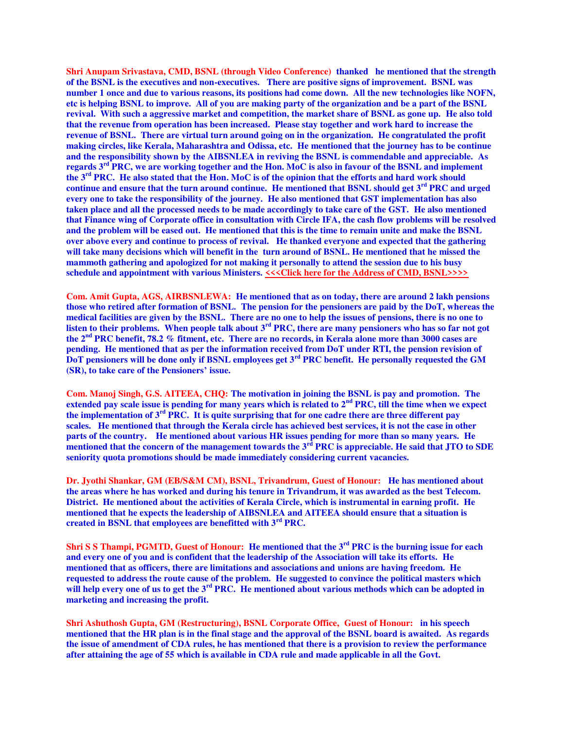**Shri Anupam Srivastava, CMD, BSNL (through Video Conference) thanked he mentioned that the strength of the BSNL is the executives and non-executives. There are positive signs of improvement. BSNL was number 1 once and due to various reasons, its positions had come down. All the new technologies like NOFN, etc is helping BSNL to improve. All of you are making party of the organization and be a part of the BSNL revival. With such a aggressive market and competition, the market share of BSNL as gone up. He also told that the revenue from operation has been increased. Please stay together and work hard to increase the revenue of BSNL. There are virtual turn around going on in the organization. He congratulated the profit making circles, like Kerala, Maharashtra and Odissa, etc. He mentioned that the journey has to be continue and the responsibility shown by the AIBSNLEA in reviving the BSNL is commendable and appreciable. As regards 3rd PRC, we are working together and the Hon. MoC is also in favour of the BSNL and implement the 3rd PRC. He also stated that the Hon. MoC is of the opinion that the efforts and hard work should continue and ensure that the turn around continue. He mentioned that BSNL should get 3rd PRC and urged every one to take the responsibility of the journey. He also mentioned that GST implementation has also taken place and all the processed needs to be made accordingly to take care of the GST. He also mentioned that Finance wing of Corporate office in consultation with Circle IFA, the cash flow problems will be resolved and the problem will be eased out. He mentioned that this is the time to remain unite and make the BSNL over above every and continue to process of revival. He thanked everyone and expected that the gathering will take many decisions which will benefit in the turn around of BSNL. He mentioned that he missed the mammoth gathering and apologized for not making it personally to attend the session due to his busy schedule and appointment with various Ministers. [<<<Click here for the Address of CMD, BSNL>>>>](http://www.aibsnleachq.in/Soeech%20of%20CMD%20AIBSNLEA%20CHQ.mp3)**

**Com. Amit Gupta, AGS, AIRBSNLEWA: He mentioned that as on today, there are around 2 lakh pensions those who retired after formation of BSNL. The pension for the pensioners are paid by the DoT, whereas the medical facilities are given by the BSNL. There are no one to help the issues of pensions, there is no one to listen to their problems. When people talk about 3rd PRC, there are many pensioners who has so far not got the 2nd PRC benefit, 78.2 % fitment, etc. There are no records, in Kerala alone more than 3000 cases are pending. He mentioned that as per the information received from DoT under RTI, the pension revision of DoT pensioners will be done only if BSNL employees get 3rd PRC benefit. He personally requested the GM (SR), to take care of the Pensioners' issue.**

**Com. Manoj Singh, G.S. AITEEA, CHQ: The motivation in joining the BSNL is pay and promotion. The extended pay scale issue is pending for many years which is related to 2nd PRC, till the time when we expect the implementation of 3rd PRC. It is quite surprising that for one cadre there are three different pay scales. He mentioned that through the Kerala circle has achieved best services, it is not the case in other parts of the country. He mentioned about various HR issues pending for more than so many years. He mentioned that the concern of the management towards the 3rd PRC is appreciable. He said that JTO to SDE seniority quota promotions should be made immediately considering current vacancies.** 

**Dr. Jyothi Shankar, GM (EB/S&M CM), BSNL, Trivandrum, Guest of Honour: He has mentioned about the areas where he has worked and during his tenure in Trivandrum, it was awarded as the best Telecom. District. He mentioned about the activities of Kerala Circle, which is instrumental in earning profit. He mentioned that he expects the leadership of AIBSNLEA and AITEEA should ensure that a situation is created in BSNL that employees are benefitted with 3rd PRC.**

**Shri S S Thampi, PGMTD, Guest of Honour: He mentioned that the 3rd PRC is the burning issue for each and every one of you and is confident that the leadership of the Association will take its efforts. He mentioned that as officers, there are limitations and associations and unions are having freedom. He requested to address the route cause of the problem. He suggested to convince the political masters which will help every one of us to get the 3rd PRC. He mentioned about various methods which can be adopted in marketing and increasing the profit.** 

**Shri Ashuthosh Gupta, GM (Restructuring), BSNL Corporate Office, Guest of Honour: in his speech mentioned that the HR plan is in the final stage and the approval of the BSNL board is awaited. As regards the issue of amendment of CDA rules, he has mentioned that there is a provision to review the performance after attaining the age of 55 which is available in CDA rule and made applicable in all the Govt.**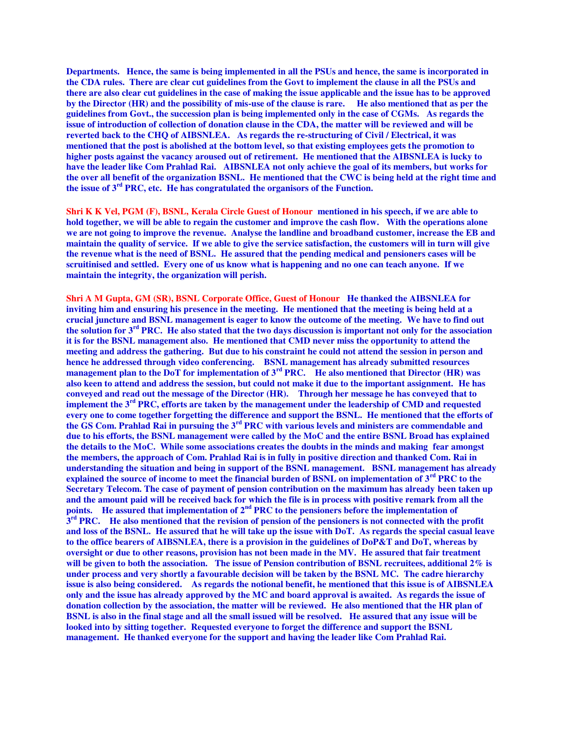**Departments. Hence, the same is being implemented in all the PSUs and hence, the same is incorporated in the CDA rules. There are clear cut guidelines from the Govt to implement the clause in all the PSUs and there are also clear cut guidelines in the case of making the issue applicable and the issue has to be approved by the Director (HR) and the possibility of mis-use of the clause is rare. He also mentioned that as per the guidelines from Govt., the succession plan is being implemented only in the case of CGMs. As regards the issue of introduction of collection of donation clause in the CDA, the matter will be reviewed and will be reverted back to the CHQ of AIBSNLEA. As regards the re-structuring of Civil / Electrical, it was mentioned that the post is abolished at the bottom level, so that existing employees gets the promotion to higher posts against the vacancy aroused out of retirement. He mentioned that the AIBSNLEA is lucky to have the leader like Com Prahlad Rai. AIBSNLEA not only achieve the goal of its members, but works for the over all benefit of the organization BSNL. He mentioned that the CWC is being held at the right time and the issue of 3rd PRC, etc. He has congratulated the organisors of the Function.** 

**Shri K K Vel, PGM (F), BSNL, Kerala Circle Guest of Honour mentioned in his speech, if we are able to hold together, we will be able to regain the customer and improve the cash flow. With the operations alone we are not going to improve the revenue. Analyse the landline and broadband customer, increase the EB and maintain the quality of service. If we able to give the service satisfaction, the customers will in turn will give the revenue what is the need of BSNL. He assured that the pending medical and pensioners cases will be scruitinised and settled. Every one of us know what is happening and no one can teach anyone. If we maintain the integrity, the organization will perish.**

**Shri A M Gupta, GM (SR), BSNL Corporate Office, Guest of Honour He thanked the AIBSNLEA for inviting him and ensuring his presence in the meeting. He mentioned that the meeting is being held at a crucial juncture and BSNL management is eager to know the outcome of the meeting. We have to find out the solution for 3rd PRC. He also stated that the two days discussion is important not only for the association it is for the BSNL management also. He mentioned that CMD never miss the opportunity to attend the meeting and address the gathering. But due to his constraint he could not attend the session in person and hence he addressed through video conferencing. BSNL management has already submitted resources management plan to the DoT for implementation of 3rd PRC. He also mentioned that Director (HR) was also keen to attend and address the session, but could not make it due to the important assignment. He has conveyed and read out the message of the Director (HR). Through her message he has conveyed that to implement the 3rd PRC, efforts are taken by the management under the leadership of CMD and requested every one to come together forgetting the difference and support the BSNL. He mentioned that the efforts of the GS Com. Prahlad Rai in pursuing the 3rd PRC with various levels and ministers are commendable and due to his efforts, the BSNL management were called by the MoC and the entire BSNL Broad has explained the details to the MoC. While some associations creates the doubts in the minds and making fear amongst the members, the approach of Com. Prahlad Rai is in fully in positive direction and thanked Com. Rai in understanding the situation and being in support of the BSNL management. BSNL management has already explained the source of income to meet the financial burden of BSNL on implementation of 3rd PRC to the Secretary Telecom. The case of payment of pension contribution on the maximum has already been taken up and the amount paid will be received back for which the file is in process with positive remark from all the points. He assured that implementation of 2nd PRC to the pensioners before the implementation of 3 rd PRC. He also mentioned that the revision of pension of the pensioners is not connected with the profit and loss of the BSNL. He assured that he will take up the issue with DoT. As regards the special casual leave to the office bearers of AIBSNLEA, there is a provision in the guidelines of DoP&T and DoT, whereas by oversight or due to other reasons, provision has not been made in the MV. He assured that fair treatment will be given to both the association. The issue of Pension contribution of BSNL recruitees, additional 2% is under process and very shortly a favourable decision will be taken by the BSNL MC. The cadre hierarchy issue is also being considered. As regards the notional benefit, he mentioned that this issue is of AIBSNLEA only and the issue has already approved by the MC and board approval is awaited. As regards the issue of donation collection by the association, the matter will be reviewed. He also mentioned that the HR plan of BSNL is also in the final stage and all the small issued will be resolved. He assured that any issue will be looked into by sitting together. Requested everyone to forget the difference and support the BSNL management. He thanked everyone for the support and having the leader like Com Prahlad Rai.**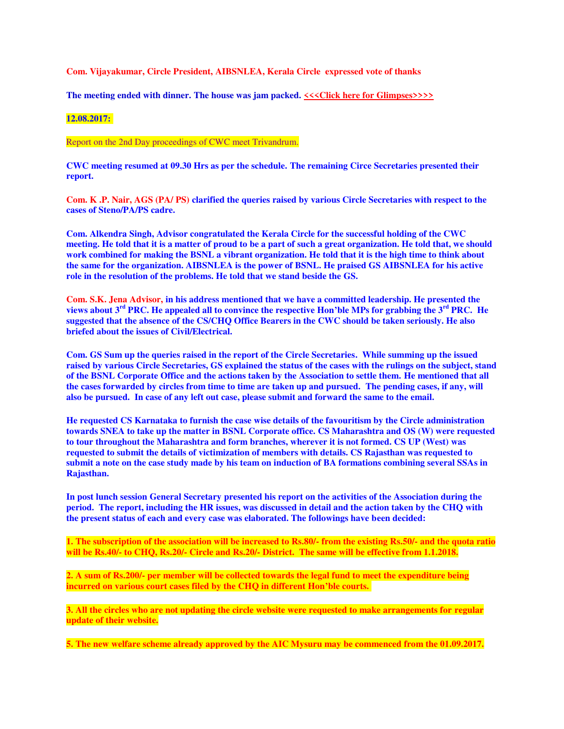**Com. Vijayakumar, Circle President, AIBSNLEA, Kerala Circle expressed vote of thanks**

**The meeting ended with dinner. The house was jam packed. [<<<Click here for Glimpses>>>>](https://photos.google.com/u/1/album/AF1QipOsmn_h63YQd3-4C_36BHjnBE1RtHvT8OadxGPW/photo/AF1QipNjeDNSS8hl_AAVpMOr_39hulb7iTpmX6Kn-IR2)**

#### **12.08.2017:**

Report on the 2nd Day proceedings of CWC meet Trivandrum.

**CWC meeting resumed at 09.30 Hrs as per the schedule. The remaining Circe Secretaries presented their report.**

**Com. K .P. Nair, AGS (PA/ PS) clarified the queries raised by various Circle Secretaries with respect to the cases of Steno/PA/PS cadre.**

**Com. Alkendra Singh, Advisor congratulated the Kerala Circle for the successful holding of the CWC meeting. He told that it is a matter of proud to be a part of such a great organization. He told that, we should work combined for making the BSNL a vibrant organization. He told that it is the high time to think about the same for the organization. AIBSNLEA is the power of BSNL. He praised GS AIBSNLEA for his active role in the resolution of the problems. He told that we stand beside the GS.**

**Com. S.K. Jena Advisor, in his address mentioned that we have a committed leadership. He presented the views about 3rd PRC. He appealed all to convince the respective Hon'ble MPs for grabbing the 3rd PRC. He suggested that the absence of the CS/CHQ Office Bearers in the CWC should be taken seriously. He also briefed about the issues of Civil/Electrical.**

**Com. GS Sum up the queries raised in the report of the Circle Secretaries. While summing up the issued raised by various Circle Secretaries, GS explained the status of the cases with the rulings on the subject, stand of the BSNL Corporate Office and the actions taken by the Association to settle them. He mentioned that all the cases forwarded by circles from time to time are taken up and pursued. The pending cases, if any, will also be pursued. In case of any left out case, please submit and forward the same to the email.**

**He requested CS Karnataka to furnish the case wise details of the favouritism by the Circle administration towards SNEA to take up the matter in BSNL Corporate office. CS Maharashtra and OS (W) were requested to tour throughout the Maharashtra and form branches, wherever it is not formed. CS UP (West) was requested to submit the details of victimization of members with details. CS Rajasthan was requested to submit a note on the case study made by his team on induction of BA formations combining several SSAs in Rajasthan.**

**In post lunch session General Secretary presented his report on the activities of the Association during the period. The report, including the HR issues, was discussed in detail and the action taken by the CHQ with the present status of each and every case was elaborated. The followings have been decided:**

**1. The subscription of the association will be increased to Rs.80/- from the existing Rs.50/- and the quota ratio will be Rs.40/- to CHQ, Rs.20/- Circle and Rs.20/- District. The same will be effective from 1.1.2018.**

**2. A sum of Rs.200/- per member will be collected towards the legal fund to meet the expenditure being incurred on various court cases filed by the CHQ in different Hon'ble courts.** 

**3. All the circles who are not updating the circle website were requested to make arrangements for regular update of their website.**

**5. The new welfare scheme already approved by the AIC Mysuru may be commenced from the 01.09.2017.**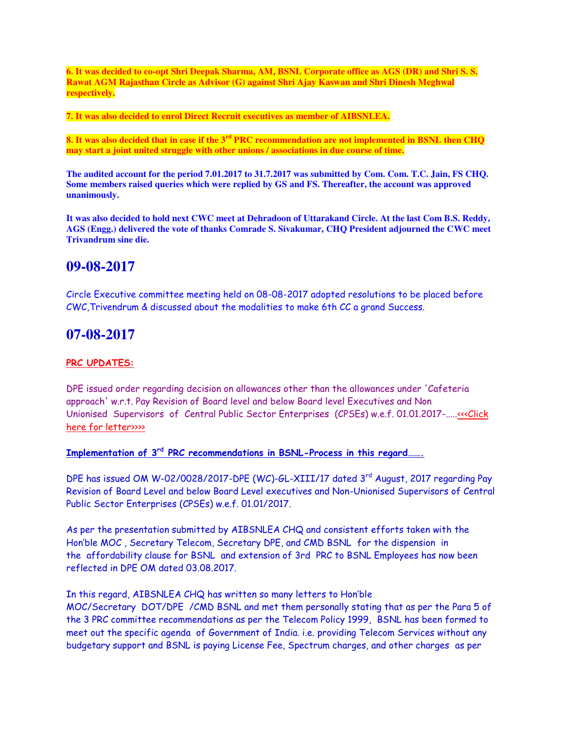**6. It was decided to co-opt Shri Deepak Sharma, AM, BSNL Corporate office as AGS (DR) and Shri S. S. Rawat AGM Rajasthan Circle as Advisor (G) against Shri Ajay Kaswan and Shri Dinesh Meghwal respectively.**

**7. It was also decided to enrol Direct Recruit executives as member of AIBSNLEA.**

**8. It was also decided that in case if the 3rd PRC recommendation are not implemented in BSNL then CHQ may start a joint united struggle with other unions / associations in due course of time.**

**The audited account for the period 7.01.2017 to 31.7.2017 was submitted by Com. Com. T.C. Jain, FS CHQ. Some members raised queries which were replied by GS and FS. Thereafter, the account was approved unanimously.**

**It was also decided to hold next CWC meet at Dehradoon of Uttarakand Circle. At the last Com B.S. Reddy, AGS (Engg.) delivered the vote of thanks Comrade S. Sivakumar, CHQ President adjourned the CWC meet Trivandrum sine die.**

## **09-08-2017**

Circle Executive committee meeting held on 08-08-2017 adopted resolutions to be placed before CWC,Trivendrum & discussed about the modalities to make 6th CC a grand Success.

## **07-08-2017**

### **PRC UPDATES:**

DPE issued order regarding decision on allowances other than the allowances under 'Cafeteria approach' w.r.t. Pay Revision of Board level and below Board level Executives and Non Unionised Supervisors of Central Public Sector Enterprises (CPSEs) w.e.f. 01.01.2017-.....<<< Click [here for letter>>>>](http://www.aibsnleachq.in/DOC-20170805-WA0013.pdf)

### **Implementation of 3rd PRC recommendations in BSNL-Process in this regard…….**

DPE has issued OM W-02/0028/2017-DPE (WC)-GL-XIII/17 dated 3<sup>rd</sup> August, 2017 regarding Pay Revision of Board Level and below Board Level executives and Non-Unionised Supervisors of Central Public Sector Enterprises (CPSEs) w.e.f. 01.01/2017.

As per the presentation submitted by AIBSNLEA CHQ and consistent efforts taken with the Hon'ble MOC , Secretary Telecom, Secretary DPE, and CMD BSNL for the dispension in the affordability clause for BSNL and extension of 3rd PRC to BSNL Employees has now been reflected in DPE OM dated 03.08.2017.

#### In this regard, AIBSNLEA CHQ has written so many letters to Hon'ble

MOC/Secretary DOT/DPE /CMD BSNL and met them personally stating that as per the Para 5 of the 3 PRC committee recommendations as per the Telecom Policy 1999, BSNL has been formed to meet out the specific agenda of Government of India. i.e. providing Telecom Services without any budgetary support and BSNL is paying License Fee, Spectrum charges, and other charges as per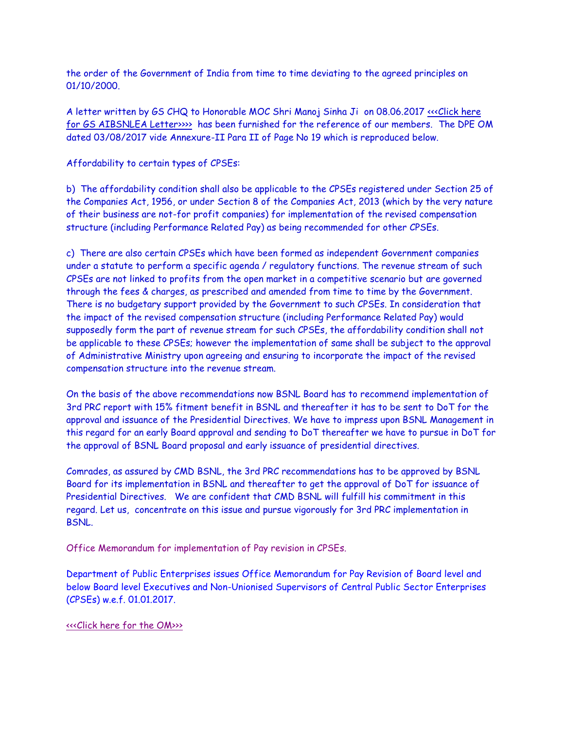the order of the Government of India from time to time deviating to the agreed principles on 01/10/2000.

A letter written by GS CHQ to Honorable MOC Shri Manoj Sinha Ji on 08.06.2017 [<<<Click here](http://www.aibsnleachq.in/MOS_170608.pdf)  for GS AIBSNLEA Letter>>>>>>>>>> has been furnished for the reference of our members. The DPE OM dated 03/08/2017 vide Annexure-II Para II of Page No 19 which is reproduced below.

#### Affordability to certain types of CPSEs:

b) The affordability condition shall also be applicable to the CPSEs registered under Section 25 of the Companies Act, 1956, or under Section 8 of the Companies Act, 2013 (which by the very nature of their business are not-for profit companies) for implementation of the revised compensation structure (including Performance Related Pay) as being recommended for other CPSEs.

c) There are also certain CPSEs which have been formed as independent Government companies under a statute to perform a specific agenda / regulatory functions. The revenue stream of such CPSEs are not linked to profits from the open market in a competitive scenario but are governed through the fees & charges, as prescribed and amended from time to time by the Government. There is no budgetary support provided by the Government to such CPSEs. In consideration that the impact of the revised compensation structure (including Performance Related Pay) would supposedly form the part of revenue stream for such CPSEs, the affordability condition shall not be applicable to these CPSEs; however the implementation of same shall be subject to the approval of Administrative Ministry upon agreeing and ensuring to incorporate the impact of the revised compensation structure into the revenue stream.

On the basis of the above recommendations now BSNL Board has to recommend implementation of 3rd PRC report with 15% fitment benefit in BSNL and thereafter it has to be sent to DoT for the approval and issuance of the Presidential Directives. We have to impress upon BSNL Management in this regard for an early Board approval and sending to DoT thereafter we have to pursue in DoT for the approval of BSNL Board proposal and early issuance of presidential directives.

Comrades, as assured by CMD BSNL, the 3rd PRC recommendations has to be approved by BSNL Board for its implementation in BSNL and thereafter to get the approval of DoT for issuance of Presidential Directives. We are confident that CMD BSNL will fulfill his commitment in this regard. Let us, concentrate on this issue and pursue vigorously for 3rd PRC implementation in BSNL.

Office Memorandum for implementation of Pay revision in CPSEs.

Department of Public Enterprises issues Office Memorandum for Pay Revision of Board level and below Board level Executives and Non-Unionised Supervisors of Central Public Sector Enterprises (CPSEs) w.e.f. 01.01.2017.

### [<<<Click here for the OM>>>](http://www.aibsnleachq.in/OM%2003.08.2017%20reg%203rd%20Pay%20Revision%20Guidelines0001.pdf)